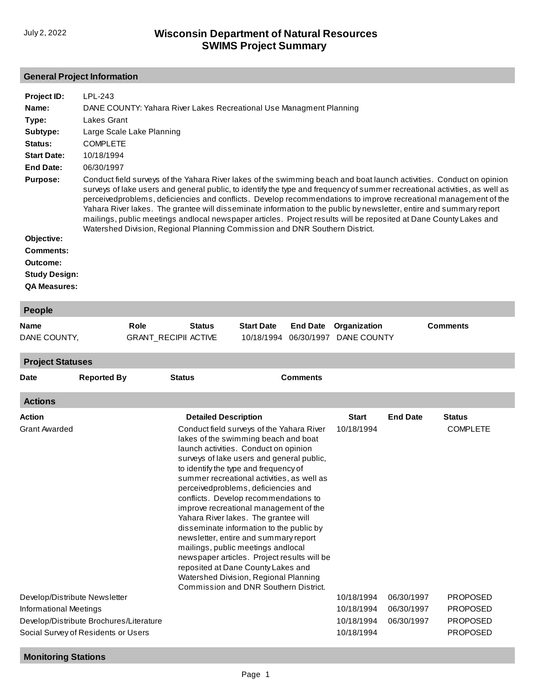## **General Project Information**

| Project ID:<br>Name:<br>Type:<br>Subtype:<br>Status:<br><b>Start Date:</b><br><b>End Date:</b><br><b>Purpose:</b> | LPL-243<br>DANE COUNTY: Yahara River Lakes Recreational Use Managment Planning<br>Lakes Grant<br>Large Scale Lake Planning<br><b>COMPLETE</b><br>10/18/1994<br>06/30/1997<br>Conduct field surveys of the Yahara River lakes of the swimming beach and boat launch activities. Conduct on opinion<br>surveys of lake users and general public, to identify the type and frequency of summer recreational activities, as well as<br>perceivedproblems, deficiencies and conflicts. Develop recommendations to improve recreational management of the<br>Yahara River lakes. The grantee will disseminate information to the public by newsletter, entire and summary report<br>mailings, public meetings and local newspaper articles. Project results will be reposited at Dane County Lakes and |
|-------------------------------------------------------------------------------------------------------------------|--------------------------------------------------------------------------------------------------------------------------------------------------------------------------------------------------------------------------------------------------------------------------------------------------------------------------------------------------------------------------------------------------------------------------------------------------------------------------------------------------------------------------------------------------------------------------------------------------------------------------------------------------------------------------------------------------------------------------------------------------------------------------------------------------|
| Objective:<br>Comments:<br>Outcome:<br><b>Study Design:</b><br><b>QA Measures:</b>                                | Watershed Division, Regional Planning Commission and DNR Southern District.                                                                                                                                                                                                                                                                                                                                                                                                                                                                                                                                                                                                                                                                                                                      |

| <b>People</b>           |                    |                             |                             |                                                                                                                                                                         |                 |              |                 |                 |  |
|-------------------------|--------------------|-----------------------------|-----------------------------|-------------------------------------------------------------------------------------------------------------------------------------------------------------------------|-----------------|--------------|-----------------|-----------------|--|
| <b>Name</b>             |                    | Role                        | <b>Status</b>               | <b>Start Date</b>                                                                                                                                                       | <b>End Date</b> | Organization |                 | <b>Comments</b> |  |
| DANE COUNTY,            |                    | <b>GRANT RECIPII ACTIVE</b> |                             | 10/18/1994                                                                                                                                                              | 06/30/1997      | DANE COUNTY  |                 |                 |  |
| <b>Project Statuses</b> |                    |                             |                             |                                                                                                                                                                         |                 |              |                 |                 |  |
| <b>Date</b>             | <b>Reported By</b> | <b>Status</b>               |                             |                                                                                                                                                                         | <b>Comments</b> |              |                 |                 |  |
| <b>Actions</b>          |                    |                             |                             |                                                                                                                                                                         |                 |              |                 |                 |  |
| <b>Action</b>           |                    |                             | <b>Detailed Description</b> |                                                                                                                                                                         |                 | <b>Start</b> | <b>End Date</b> | <b>Status</b>   |  |
| <b>Grant Awarded</b>    |                    |                             |                             | Conduct field surveys of the Yahara River<br>lakes of the swimming beach and boat<br>launch activities. Conduct on opinion<br>surveys of lake users and general public. |                 | 10/18/1994   |                 | <b>COMPLETE</b> |  |

|                                         | summer recreational activities, as well as  |            |            |                 |
|-----------------------------------------|---------------------------------------------|------------|------------|-----------------|
|                                         | perceivedproblems, deficiencies and         |            |            |                 |
|                                         | conflicts. Develop recommendations to       |            |            |                 |
|                                         | improve recreational management of the      |            |            |                 |
|                                         | Yahara River lakes. The grantee will        |            |            |                 |
|                                         | disseminate information to the public by    |            |            |                 |
|                                         | newsletter, entire and summary report       |            |            |                 |
|                                         | mailings, public meetings and local         |            |            |                 |
|                                         | newspaper articles. Project results will be |            |            |                 |
|                                         | reposited at Dane County Lakes and          |            |            |                 |
|                                         | Watershed Division, Regional Planning       |            |            |                 |
|                                         | Commission and DNR Southern District.       |            |            |                 |
| Develop/Distribute Newsletter           |                                             | 10/18/1994 | 06/30/1997 | <b>PROPOSED</b> |
| Informational Meetings                  |                                             | 10/18/1994 | 06/30/1997 | <b>PROPOSED</b> |
| Develop/Distribute Brochures/Literature |                                             | 10/18/1994 | 06/30/1997 | <b>PROPOSED</b> |
| Social Survey of Residents or Users     |                                             | 10/18/1994 |            | <b>PROPOSED</b> |
|                                         |                                             |            |            |                 |

to identify the type and frequency of

## **Monitoring Stations**